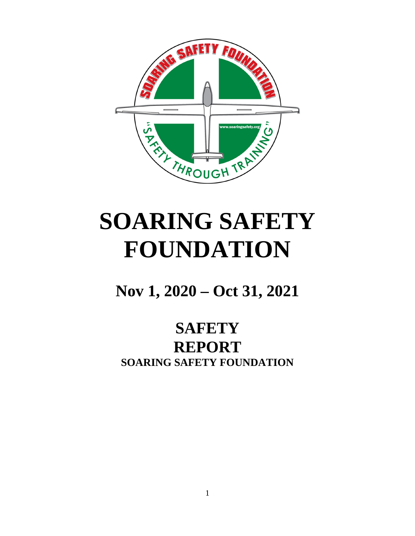

# **SOARING SAFETY FOUNDATION**

**Nov 1, 2020 – Oct 31, 2021**

# **SAFETY REPORT SOARING SAFETY FOUNDATION**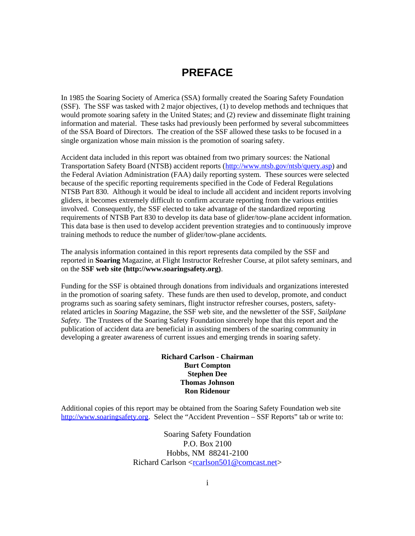#### <span id="page-1-0"></span>**PREFACE**

In 1985 the Soaring Society of America (SSA) formally created the Soaring Safety Foundation (SSF). The SSF was tasked with 2 major objectives, (1) to develop methods and techniques that would promote soaring safety in the United States; and (2) review and disseminate flight training information and material. These tasks had previously been performed by several subcommittees of the SSA Board of Directors. The creation of the SSF allowed these tasks to be focused in a single organization whose main mission is the promotion of soaring safety.

Accident data included in this report was obtained from two primary sources: the National Transportation Safety Board (NTSB) accident reports (<http://www.ntsb.gov/ntsb/query.asp>) and the Federal Aviation Administration (FAA) daily reporting system. These sources were selected because of the specific reporting requirements specified in the Code of Federal Regulations NTSB Part 830. Although it would be ideal to include all accident and incident reports involving gliders, it becomes extremely difficult to confirm accurate reporting from the various entities involved. Consequently, the SSF elected to take advantage of the standardized reporting requirements of NTSB Part 830 to develop its data base of glider/tow-plane accident information. This data base is then used to develop accident prevention strategies and to continuously improve training methods to reduce the number of glider/tow-plane accidents.

The analysis information contained in this report represents data compiled by the SSF and reported in **Soaring** Magazine, at Flight Instructor Refresher Course, at pilot safety seminars, and on the **SSF web site (http://www.soaringsafety.org)**.

Funding for the SSF is obtained through donations from individuals and organizations interested in the promotion of soaring safety. These funds are then used to develop, promote, and conduct programs such as soaring safety seminars, flight instructor refresher courses, posters, safetyrelated articles in *Soaring* Magazine, the SSF web site, and the newsletter of the SSF, *Sailplane Safety*. The Trustees of the Soaring Safety Foundation sincerely hope that this report and the publication of accident data are beneficial in assisting members of the soaring community in developing a greater awareness of current issues and emerging trends in soaring safety.

#### **Richard Carlson - Chairman Burt Compton Stephen Dee Thomas Johnson Ron Ridenour**

Additional copies of this report may be obtained from the Soaring Safety Foundation web site [http://www.soaringsafety.org](http://www.soaringsafety.org/). Select the "Accident Prevention – SSF Reports" tab or write to:

> Soaring Safety Foundation P.O. Box 2100 Hobbs, NM 88241-2100 Richard Carlson  $\leq$ rcarlson $501$ @comcast.net $>$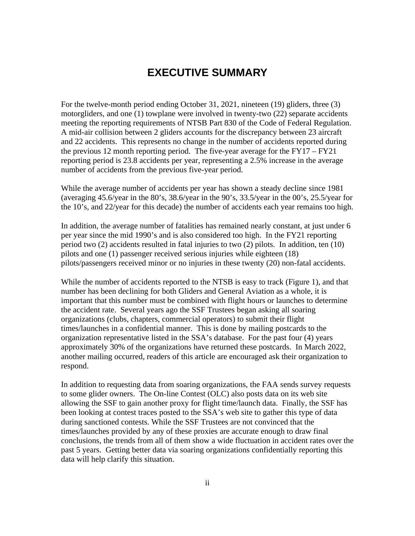#### <span id="page-2-0"></span>**EXECUTIVE SUMMARY**

For the twelve-month period ending October 31, 2021, nineteen (19) gliders, three (3) motorgliders, and one (1) towplane were involved in twenty-two (22) separate accidents meeting the reporting requirements of NTSB Part 830 of the Code of Federal Regulation. A mid-air collision between 2 gliders accounts for the discrepancy between 23 aircraft and 22 accidents. This represents no change in the number of accidents reported during the previous 12 month reporting period. The five-year average for the FY17 – FY21 reporting period is 23.8 accidents per year, representing a 2.5% increase in the average number of accidents from the previous five-year period.

While the average number of accidents per year has shown a steady decline since 1981 (averaging 45.6/year in the 80's, 38.6/year in the 90's, 33.5/year in the 00's, 25.5/year for the 10's, and 22/year for this decade) the number of accidents each year remains too high.

In addition, the average number of fatalities has remained nearly constant, at just under 6 per year since the mid 1990's and is also considered too high. In the FY21 reporting period two (2) accidents resulted in fatal injuries to two (2) pilots. In addition, ten (10) pilots and one (1) passenger received serious injuries while eighteen (18) pilots/passengers received minor or no injuries in these twenty (20) non-fatal accidents.

While the number of accidents reported to the NTSB is easy to track (Figure 1), and that number has been declining for both Gliders and General Aviation as a whole, it is important that this number must be combined with flight hours or launches to determine the accident rate. Several years ago the SSF Trustees began asking all soaring organizations (clubs, chapters, commercial operators) to submit their flight times/launches in a confidential manner. This is done by mailing postcards to the organization representative listed in the SSA's database. For the past four (4) years approximately 30% of the organizations have returned these postcards. In March 2022, another mailing occurred, readers of this article are encouraged ask their organization to respond.

In addition to requesting data from soaring organizations, the FAA sends survey requests to some glider owners. The On-line Contest (OLC) also posts data on its web site allowing the SSF to gain another proxy for flight time/launch data. Finally, the SSF has been looking at contest traces posted to the SSA's web site to gather this type of data during sanctioned contests. While the SSF Trustees are not convinced that the times/launches provided by any of these proxies are accurate enough to draw final conclusions, the trends from all of them show a wide fluctuation in accident rates over the past 5 years. Getting better data via soaring organizations confidentially reporting this data will help clarify this situation.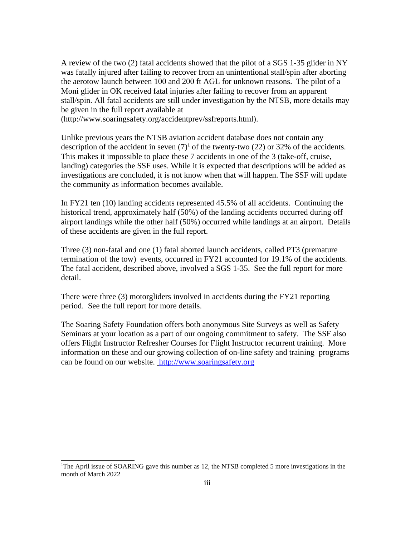A review of the two (2) fatal accidents showed that the pilot of a SGS 1-35 glider in NY was fatally injured after failing to recover from an unintentional stall/spin after aborting the aerotow launch between 100 and 200 ft AGL for unknown reasons. The pilot of a Moni glider in OK received fatal injuries after failing to recover from an apparent stall/spin. All fatal accidents are still under investigation by the NTSB, more details may be given in the full report available at

(http://www.soaringsafety.org/accidentprev/ssfreports.html).

Unlike previous years the NTSB aviation accident database does not contain any description of the accident in seven  $(7)^1$  $(7)^1$  of the twenty-two (22) or 32% of the accidents. This makes it impossible to place these 7 accidents in one of the 3 (take-off, cruise, landing) categories the SSF uses. While it is expected that descriptions will be added as investigations are concluded, it is not know when that will happen. The SSF will update the community as information becomes available.

In FY21 ten (10) landing accidents represented 45.5% of all accidents. Continuing the historical trend, approximately half (50%) of the landing accidents occurred during off airport landings while the other half (50%) occurred while landings at an airport. Details of these accidents are given in the full report.

Three (3) non-fatal and one (1) fatal aborted launch accidents, called PT3 (premature termination of the tow) events, occurred in FY21 accounted for 19.1% of the accidents. The fatal accident, described above, involved a SGS 1-35. See the full report for more detail.

There were three (3) motorgliders involved in accidents during the FY21 reporting period. See the full report for more details.

The Soaring Safety Foundation offers both anonymous Site Surveys as well as Safety Seminars at your location as a part of our ongoing commitment to safety. The SSF also offers Flight Instructor Refresher Courses for Flight Instructor recurrent training. More information on these and our growing collection of on-line safety and training programs can be found on our website. [http://www.soaringsafety.org](http://www.soaringsafety.org/)

<span id="page-3-0"></span><sup>&</sup>lt;sup>1</sup>The April issue of SOARING gave this number as 12, the NTSB completed 5 more investigations in the month of March 2022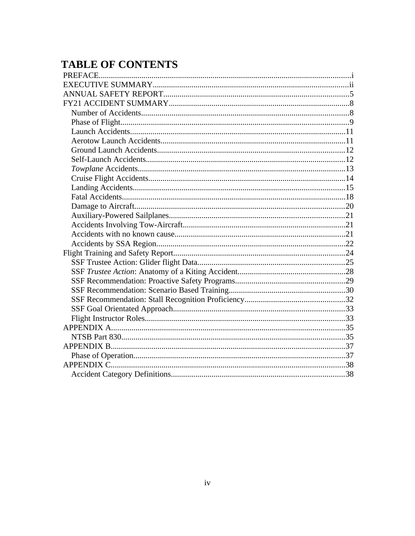# **TABLE OF CONTENTS**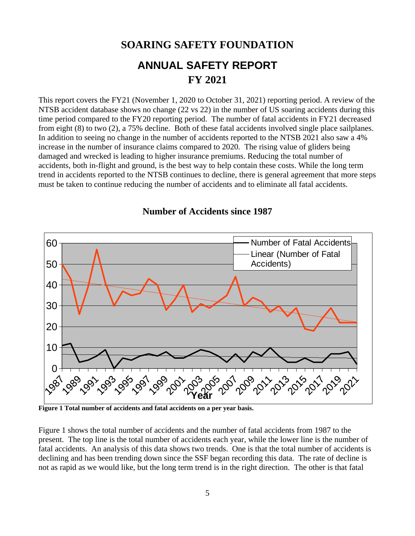# <span id="page-5-0"></span>**SOARING SAFETY FOUNDATION ANNUAL SAFETY REPORT FY 2021**

This report covers the FY21 (November 1, 2020 to October 31, 2021) reporting period. A review of the NTSB accident database shows no change (22 vs 22) in the number of US soaring accidents during this time period compared to the FY20 reporting period. The number of fatal accidents in FY21 decreased from eight (8) to two (2), a 75% decline. Both of these fatal accidents involved single place sailplanes. In addition to seeing no change in the number of accidents reported to the NTSB 2021 also saw a 4% increase in the number of insurance claims compared to 2020. The rising value of gliders being damaged and wrecked is leading to higher insurance premiums. Reducing the total number of accidents, both in-flight and ground, is the best way to help contain these costs. While the long term trend in accidents reported to the NTSB continues to decline, there is general agreement that more steps must be taken to continue reducing the number of accidents and to eliminate all fatal accidents.



**Number of Accidents since 1987**

**Figure 1 Total number of accidents and fatal accidents on a per year basis.** 

Figure 1 shows the total number of accidents and the number of fatal accidents from 1987 to the present. The top line is the total number of accidents each year, while the lower line is the number of fatal accidents. An analysis of this data shows two trends. One is that the total number of accidents is declining and has been trending down since the SSF began recording this data. The rate of decline is not as rapid as we would like, but the long term trend is in the right direction. The other is that fatal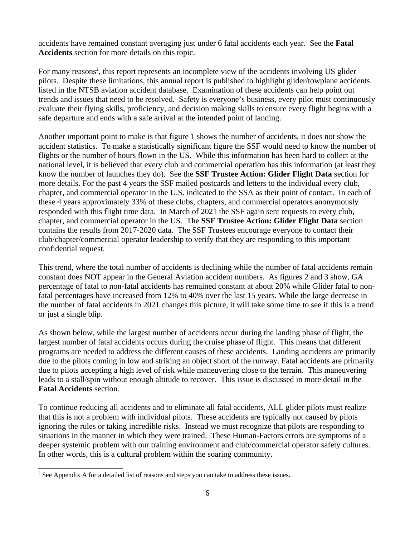accidents have remained constant averaging just under 6 fatal accidents each year. See the **Fatal Accidents** section for more details on this topic.

For many reasons<sup>[2](#page-6-0)</sup>, this report represents an incomplete view of the accidents involving US glider pilots. Despite these limitations, this annual report is published to highlight glider/towplane accidents listed in the NTSB aviation accident database. Examination of these accidents can help point out trends and issues that need to be resolved. Safety is everyone's business, every pilot must continuously evaluate their flying skills, proficiency, and decision making skills to ensure every flight begins with a safe departure and ends with a safe arrival at the intended point of landing.

Another important point to make is that figure 1 shows the number of accidents, it does not show the accident statistics. To make a statistically significant figure the SSF would need to know the number of flights or the number of hours flown in the US. While this information has been hard to collect at the national level, it is believed that every club and commercial operation has this information (at least they know the number of launches they do). See the **SSF Trustee Action: Glider Flight Data** section for more details. For the past 4 years the SSF mailed postcards and letters to the individual every club, chapter, and commercial operator in the U.S. indicated to the SSA as their point of contact. In each of these 4 years approximately 33% of these clubs, chapters, and commercial operators anonymously responded with this flight time data. In March of 2021 the SSF again sent requests to every club, chapter, and commercial operator in the US. The **SSF Trustee Action: Glider Flight Data** section contains the results from 2017-2020 data. The SSF Trustees encourage everyone to contact their club/chapter/commercial operator leadership to verify that they are responding to this important confidential request.

This trend, where the total number of accidents is declining while the number of fatal accidents remain constant does NOT appear in the General Aviation accident numbers. As figures 2 and 3 show, GA percentage of fatal to non-fatal accidents has remained constant at about 20% while Glider fatal to nonfatal percentages have increased from 12% to 40% over the last 15 years. While the large decrease in the number of fatal accidents in 2021 changes this picture, it will take some time to see if this is a trend or just a single blip.

As shown below, while the largest number of accidents occur during the landing phase of flight, the largest number of fatal accidents occurs during the cruise phase of flight. This means that different programs are needed to address the different causes of these accidents. Landing accidents are primarily due to the pilots coming in low and striking an object short of the runway. Fatal accidents are primarily due to pilots accepting a high level of risk while maneuvering close to the terrain. This maneuvering leads to a stall/spin without enough altitude to recover. This issue is discussed in more detail in the **Fatal Accidents** section.

To continue reducing all accidents and to eliminate all fatal accidents, ALL glider pilots must realize that this is not a problem with individual pilots. These accidents are typically not caused by pilots ignoring the rules or taking incredible risks. Instead we must recognize that pilots are responding to situations in the manner in which they were trained. These Human-Factors errors are symptoms of a deeper systemic problem with our training environment and club/commercial operator safety cultures. In other words, this is a cultural problem within the soaring community.

<span id="page-6-0"></span> $2^2$  See Appendix A for a detailed list of reasons and steps you can take to address these issues.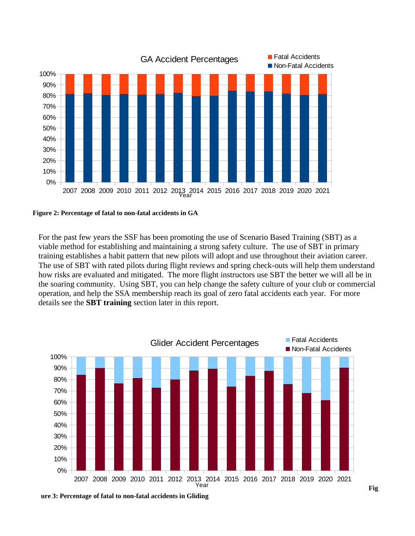

**Figure 2: Percentage of fatal to non-fatal accidents in GA**

For the past few years the SSF has been promoting the use of Scenario Based Training (SBT) as a viable method for establishing and maintaining a strong safety culture. The use of SBT in primary training establishes a habit pattern that new pilots will adopt and use throughout their aviation career. The use of SBT with rated pilots during flight reviews and spring check-outs will help them understand how risks are evaluated and mitigated. The more flight instructors use SBT the better we will all be in the soaring community. Using SBT, you can help change the safety culture of your club or commercial operation, and help the SSA membership reach its goal of zero fatal accidents each year. For more details see the **SBT training** section later in this report.



7 **ure 3: Percentage of fatal to non-fatal accidents in Gliding**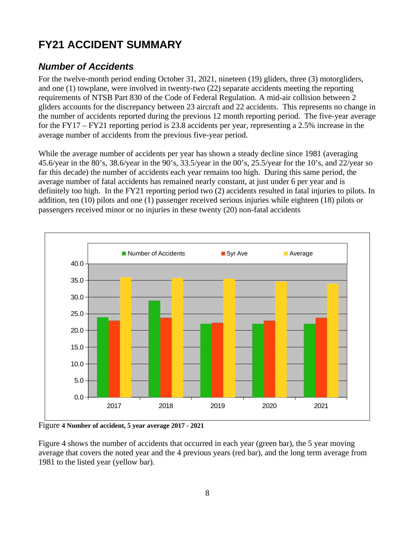# <span id="page-8-1"></span>**FY21 ACCIDENT SUMMARY**

## <span id="page-8-0"></span>*Number of Accidents*

For the twelve-month period ending October 31, 2021, nineteen (19) gliders, three (3) motorgliders, and one (1) towplane, were involved in twenty-two (22) separate accidents meeting the reporting requirements of NTSB Part 830 of the Code of Federal Regulation. A mid-air collision between 2 gliders accounts for the discrepancy between 23 aircraft and 22 accidents. This represents no change in the number of accidents reported during the previous 12 month reporting period. The five-year average for the FY17 – FY21 reporting period is 23.8 accidents per year, representing a 2.5% increase in the average number of accidents from the previous five-year period.

While the average number of accidents per year has shown a steady decline since 1981 (averaging 45.6/year in the 80's, 38.6/year in the 90's, 33.5/year in the 00's, 25.5/year for the 10's, and 22/year so far this decade) the number of accidents each year remains too high. During this same period, the average number of fatal accidents has remained nearly constant, at just under 6 per year and is definitely too high. In the FY21 reporting period two (2) accidents resulted in fatal injuries to pilots. In addition, ten (10) pilots and one (1) passenger received serious injuries while eighteen (18) pilots or passengers received minor or no injuries in these twenty (20) non-fatal accidents



Figure **4 Number of accident, 5 year average 2017 - 2021**

Figure 4 shows the number of accidents that occurred in each year (green bar), the 5 year moving average that covers the noted year and the 4 previous years (red bar), and the long term average from 1981 to the listed year (yellow bar).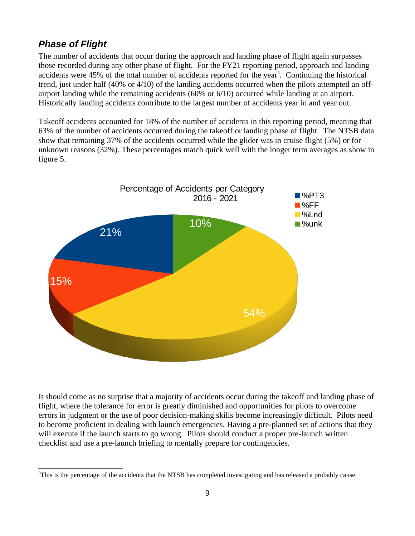## <span id="page-9-0"></span>*Phase of Flight*

The number of accidents that occur during the approach and landing phase of flight again surpasses those recorded during any other phase of flight. For the FY21 reporting period, approach and landing accidents were  $45\%$  of the total number of accidents reported for the year<sup>[3](#page-9-1)</sup>. Continuing the historical trend, just under half (40% or 4/10) of the landing accidents occurred when the pilots attempted an offairport landing while the remaining accidents (60% or 6/10) occurred while landing at an airport. Historically landing accidents contribute to the largest number of accidents year in and year out.

Takeoff accidents accounted for 18% of the number of accidents in this reporting period, meaning that 63% of the number of accidents occurred during the takeoff or landing phase of flight. The NTSB data show that remaining 37% of the accidents occurred while the glider was in cruise flight (5%) or for unknown reasons (32%). These percentages match quick well with the longer term averages as show in figure 5.



It should come as no surprise that a majority of accidents occur during the takeoff and landing phase of flight, where the tolerance for error is greatly diminished and opportunities for pilots to overcome errors in judgment or the use of poor decision-making skills become increasingly difficult. Pilots need to become proficient in dealing with launch emergencies. Having a pre-planned set of actions that they will execute if the launch starts to go wrong. Pilots should conduct a proper pre-launch written checklist and use a pre-launch briefing to mentally prepare for contingencies.

<span id="page-9-1"></span> $3$ This is the percentage of the accidents that the NTSB has completed investigating and has released a probably cause.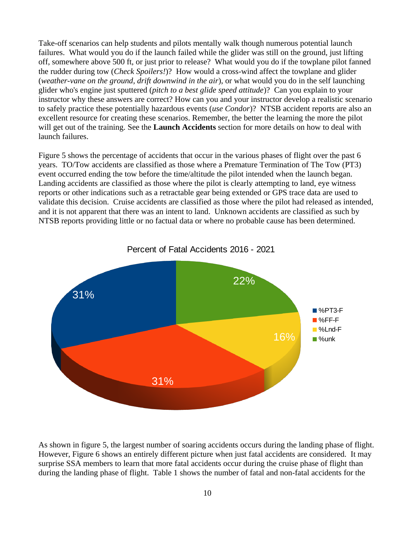Take-off scenarios can help students and pilots mentally walk though numerous potential launch failures. What would you do if the launch failed while the glider was still on the ground, just lifting off, somewhere above 500 ft, or just prior to release? What would you do if the towplane pilot fanned the rudder during tow (*Check Spoilers!*)? How would a cross-wind affect the towplane and glider (*weather-vane on the ground, drift downwind in the air*), or what would you do in the self launching glider who's engine just sputtered (*pitch to a best glide speed attitude*)? Can you explain to your instructor why these answers are correct? How can you and your instructor develop a realistic scenario to safely practice these potentially hazardous events (*use Condor*)? NTSB accident reports are also an excellent resource for creating these scenarios. Remember, the better the learning the more the pilot will get out of the training. See the **Launch Accidents** section for more details on how to deal with launch failures.

Figure 5 shows the percentage of accidents that occur in the various phases of flight over the past 6 years. TO/Tow accidents are classified as those where a Premature Termination of The Tow (PT3) event occurred ending the tow before the time/altitude the pilot intended when the launch began. Landing accidents are classified as those where the pilot is clearly attempting to land, eye witness reports or other indications such as a retractable gear being extended or GPS trace data are used to validate this decision. Cruise accidents are classified as those where the pilot had released as intended, and it is not apparent that there was an intent to land. Unknown accidents are classified as such by NTSB reports providing little or no factual data or where no probable cause has been determined.



As shown in figure 5, the largest number of soaring accidents occurs during the landing phase of flight. However, Figure 6 shows an entirely different picture when just fatal accidents are considered. It may surprise SSA members to learn that more fatal accidents occur during the cruise phase of flight than during the landing phase of flight. Table 1 shows the number of fatal and non-fatal accidents for the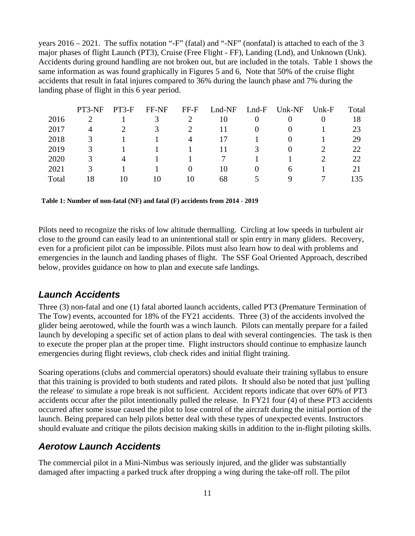years 2016 – 2021. The suffix notation "-F" (fatal) and "-NF" (nonfatal) is attached to each of the 3 major phases of flight Launch (PT3), Cruise (Free Flight - FF), Landing (Lnd), and Unknown (Unk). Accidents during ground handling are not broken out, but are included in the totals. Table 1 shows the same information as was found graphically in Figures 5 and 6, Note that 50% of the cruise flight accidents that result in fatal injures compared to 36% during the launch phase and 7% during the landing phase of flight in this 6 year period.

|              | PT3-NF | PT3-F | FF-NF | FF-F           | Lnd-NF | $Lnd-F$  | Unk-NF        | Unk-F | Total |
|--------------|--------|-------|-------|----------------|--------|----------|---------------|-------|-------|
| 2016         |        |       | 3     |                | 10     |          |               |       | 18    |
| 2017         | 4      |       | 3     | $\overline{2}$ | 11     | $\theta$ | 0             |       | 23    |
| 2018         | 3      |       |       | 4              | 17     |          | $\mathbf{0}$  |       | 29    |
| 2019         | 3      |       |       |                | 11     | З        | 0             |       | 22    |
| 2020         | 3      | 4     |       |                |        |          |               |       | 22    |
| 2021         | З      |       |       |                | 10     |          | $\mathfrak b$ |       |       |
| <b>Total</b> | 18     | 10    | 10    | 10             | 68     | 5.       | 9             |       | 135   |

**Table 1: Number of non-fatal (NF) and fatal (F) accidents from 2014 - 2019**

Pilots need to recognize the risks of low altitude thermalling. Circling at low speeds in turbulent air close to the ground can easily lead to an unintentional stall or spin entry in many gliders. Recovery, even for a proficient pilot can be impossible. Pilots must also learn how to deal with problems and emergencies in the launch and landing phases of flight. The SSF Goal Oriented Approach, described below, provides guidance on how to plan and execute safe landings.

#### <span id="page-11-1"></span>*Launch Accidents*

Three (3) non-fatal and one (1) fatal aborted launch accidents, called PT3 (Premature Termination of The Tow) events, accounted for 18% of the FY21 accidents. Three (3) of the accidents involved the glider being aerotowed, while the fourth was a winch launch. Pilots can mentally prepare for a failed launch by developing a specific set of action plans to deal with several contingencies. The task is then to execute the proper plan at the proper time. Flight instructors should continue to emphasize launch emergencies during flight reviews, club check rides and initial flight training.

Soaring operations (clubs and commercial operators) should evaluate their training syllabus to ensure that this training is provided to both students and rated pilots. It should also be noted that just 'pulling the release' to simulate a rope break is not sufficient. Accident reports indicate that over 60% of PT3 accidents occur after the pilot intentionally pulled the release. In FY21 four (4) of these PT3 accidents occurred after some issue caused the pilot to lose control of the aircraft during the initial portion of the launch. Being prepared can help pilots better deal with these types of unexpected events. Instructors should evaluate and critique the pilots decision making skills in addition to the in-flight piloting skills.

#### <span id="page-11-0"></span>*Aerotow Launch Accidents*

The commercial pilot in a Mini-Nimbus was seriously injured, and the glider was substantially damaged after impacting a parked truck after dropping a wing during the take-off roll. The pilot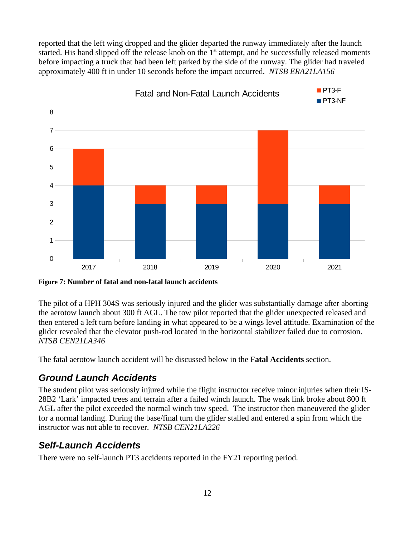reported that the left wing dropped and the glider departed the runway immediately after the launch started. His hand slipped off the release knob on the  $1<sup>st</sup>$  attempt, and he successfully released moments before impacting a truck that had been left parked by the side of the runway. The glider had traveled approximately 400 ft in under 10 seconds before the impact occurred. *NTSB ERA21LA156*



**Figure 7: Number of fatal and non-fatal launch accidents**

The pilot of a HPH 304S was seriously injured and the glider was substantially damage after aborting the aerotow launch about 300 ft AGL. The tow pilot reported that the glider unexpected released and then entered a left turn before landing in what appeared to be a wings level attitude. Examination of the glider revealed that the elevator push-rod located in the horizontal stabilizer failed due to corrosion. *NTSB CEN21LA346*

The fatal aerotow launch accident will be discussed below in the F**atal Accidents** section.

#### <span id="page-12-1"></span>*Ground Launch Accidents*

The student pilot was seriously injured while the flight instructor receive minor injuries when their IS-28B2 'Lark' impacted trees and terrain after a failed winch launch. The weak link broke about 800 ft AGL after the pilot exceeded the normal winch tow speed. The instructor then maneuvered the glider for a normal landing. During the base/final turn the glider stalled and entered a spin from which the instructor was not able to recover. *NTSB CEN21LA226*

#### <span id="page-12-0"></span>*Self-Launch Accidents*

There were no self-launch PT3 accidents reported in the FY21 reporting period.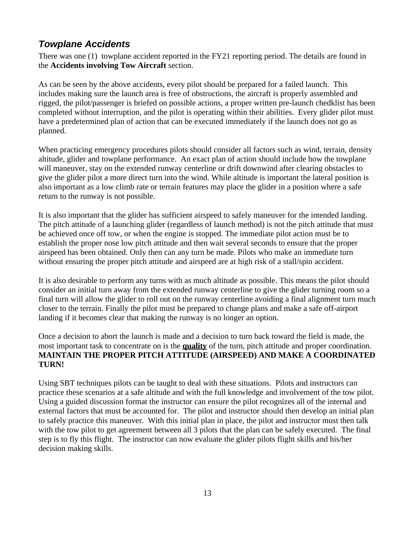### <span id="page-13-0"></span>*Towplane Accidents*

There was one (1) towplane accident reported in the FY21 reporting period. The details are found in the **Accidents involving Tow Aircraft** section.

As can be seen by the above accidents, every pilot should be prepared for a failed launch. This includes making sure the launch area is free of obstructions, the aircraft is properly assembled and rigged, the pilot/passenger is briefed on possible actions, a proper written pre-launch chedklist has been completed without interruption, and the pilot is operating within their abilities. Every glider pilot must have a predetermined plan of action that can be executed immediately if the launch does not go as planned.

When practicing emergency procedures pilots should consider all factors such as wind, terrain, density altitude, glider and towplane performance. An exact plan of action should include how the towplane will maneuver, stay on the extended runway centerline or drift downwind after clearing obstacles to give the glider pilot a more direct turn into the wind. While altitude is important the lateral position is also important as a low climb rate or terrain features may place the glider in a position where a safe return to the runway is not possible.

It is also important that the glider has sufficient airspeed to safely maneuver for the intended landing. The pitch attitude of a launching glider (regardless of launch method) is not the pitch attitude that must be achieved once off tow, or when the engine is stopped. The immediate pilot action must be to establish the proper nose low pitch attitude and then wait several seconds to ensure that the proper airspeed has been obtained. Only then can any turn be made. Pilots who make an immediate turn without ensuring the proper pitch attitude and airspeed are at high risk of a stall/spin accident.

It is also desirable to perform any turns with as much altitude as possible. This means the pilot should consider an initial turn away from the extended runway centerline to give the glider turning room so a final turn will allow the glider to roll out on the runway centerline avoiding a final alignment turn much closer to the terrain. Finally the pilot must be prepared to change plans and make a safe off-airport landing if it becomes clear that making the runway is no longer an option.

Once a decision to abort the launch is made and a decision to turn back toward the field is made, the most important task to concentrate on is the **quality** of the turn, pitch attitude and proper coordination. **MAINTAIN THE PROPER PITCH ATTITUDE (AIRSPEED) AND MAKE A COORDINATED TURN!**

Using SBT techniques pilots can be taught to deal with these situations. Pilots and instructors can practice these scenarios at a safe altitude and with the full knowledge and involvement of the tow pilot. Using a guided discussion format the instructor can ensure the pilot recognizes all of the internal and external factors that must be accounted for. The pilot and instructor should then develop an initial plan to safely practice this maneuver. With this initial plan in place, the pilot and instructor must then talk with the tow pilot to get agreement between all 3 pilots that the plan can be safely executed. The final step is to fly this flight. The instructor can now evaluate the glider pilots flight skills and his/her decision making skills.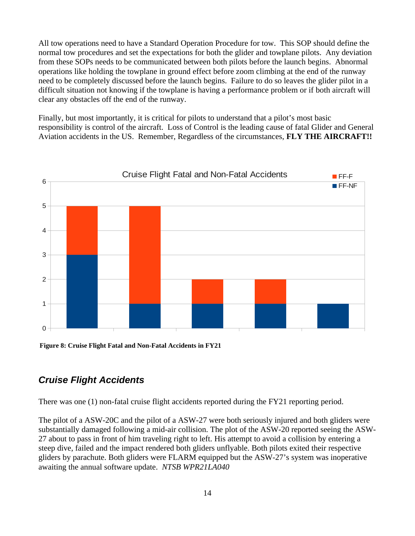All tow operations need to have a Standard Operation Procedure for tow. This SOP should define the normal tow procedures and set the expectations for both the glider and towplane pilots. Any deviation from these SOPs needs to be communicated between both pilots before the launch begins. Abnormal operations like holding the towplane in ground effect before zoom climbing at the end of the runway need to be completely discussed before the launch begins. Failure to do so leaves the glider pilot in a difficult situation not knowing if the towplane is having a performance problem or if both aircraft will clear any obstacles off the end of the runway.

Finally, but most importantly, it is critical for pilots to understand that a pilot's most basic responsibility is control of the aircraft. Loss of Control is the leading cause of fatal Glider and General Aviation accidents in the US. Remember, Regardless of the circumstances, **FLY THE AIRCRAFT!!**



**Figure 8: Cruise Flight Fatal and Non-Fatal Accidents in FY21**

#### <span id="page-14-0"></span>*Cruise Flight Accidents*

There was one (1) non-fatal cruise flight accidents reported during the FY21 reporting period.

The pilot of a ASW-20C and the pilot of a ASW-27 were both seriously injured and both gliders were substantially damaged following a mid-air collision. The plot of the ASW-20 reported seeing the ASW-27 about to pass in front of him traveling right to left. His attempt to avoid a collision by entering a steep dive, failed and the impact rendered both gliders unflyable. Both pilots exited their respective gliders by parachute. Both gliders were FLARM equipped but the ASW-27's system was inoperative awaiting the annual software update. *NTSB WPR21LA040*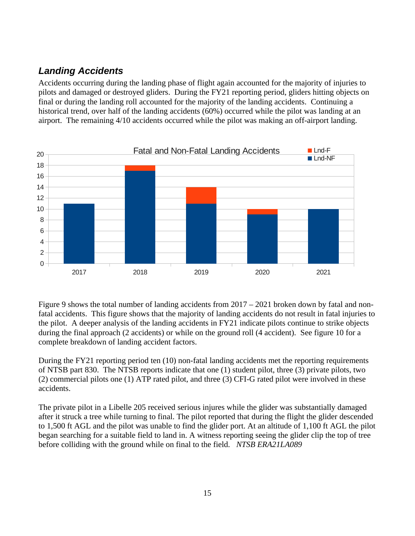## <span id="page-15-0"></span>*Landing Accidents*

Accidents occurring during the landing phase of flight again accounted for the majority of injuries to pilots and damaged or destroyed gliders. During the FY21 reporting period, gliders hitting objects on final or during the landing roll accounted for the majority of the landing accidents. Continuing a historical trend, over half of the landing accidents (60%) occurred while the pilot was landing at an airport. The remaining 4/10 accidents occurred while the pilot was making an off-airport landing.



Figure 9 shows the total number of landing accidents from 2017 – 2021 broken down by fatal and nonfatal accidents. This figure shows that the majority of landing accidents do not result in fatal injuries to the pilot. A deeper analysis of the landing accidents in FY21 indicate pilots continue to strike objects during the final approach (2 accidents) or while on the ground roll (4 accident). See figure 10 for a complete breakdown of landing accident factors.

During the FY21 reporting period ten (10) non-fatal landing accidents met the reporting requirements of NTSB part 830. The NTSB reports indicate that one (1) student pilot, three (3) private pilots, two (2) commercial pilots one (1) ATP rated pilot, and three (3) CFI-G rated pilot were involved in these accidents.

The private pilot in a Libelle 205 received serious injures while the glider was substantially damaged after it struck a tree while turning to final. The pilot reported that during the flight the glider descended to 1,500 ft AGL and the pilot was unable to find the glider port. At an altitude of 1,100 ft AGL the pilot began searching for a suitable field to land in. A witness reporting seeing the glider clip the top of tree before colliding with the ground while on final to the field. *NTSB ERA21LA089*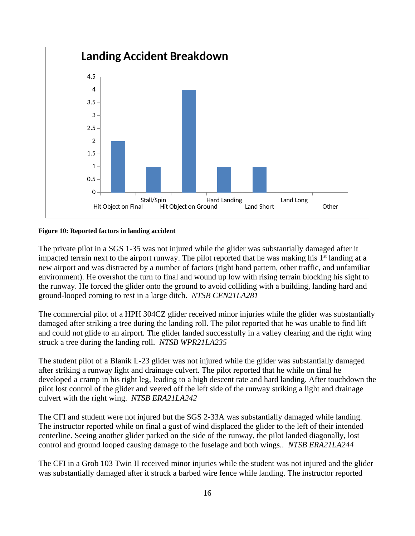

#### **Figure 10: Reported factors in landing accident**

The private pilot in a SGS 1-35 was not injured while the glider was substantially damaged after it impacted terrain next to the airport runway. The pilot reported that he was making his  $1<sup>st</sup>$  landing at a new airport and was distracted by a number of factors (right hand pattern, other traffic, and unfamiliar environment). He overshot the turn to final and wound up low with rising terrain blocking his sight to the runway. He forced the glider onto the ground to avoid colliding with a building, landing hard and ground-looped coming to rest in a large ditch. *NTSB CEN21LA281*

The commercial pilot of a HPH 304CZ glider received minor injuries while the glider was substantially damaged after striking a tree during the landing roll. The pilot reported that he was unable to find lift and could not glide to an airport. The glider landed successfully in a valley clearing and the right wing struck a tree during the landing roll. *NTSB WPR21LA235*

The student pilot of a Blanik L-23 glider was not injured while the glider was substantially damaged after striking a runway light and drainage culvert. The pilot reported that he while on final he developed a cramp in his right leg, leading to a high descent rate and hard landing. After touchdown the pilot lost control of the glider and veered off the left side of the runway striking a light and drainage culvert with the right wing. *NTSB ERA21LA242*

The CFI and student were not injured but the SGS 2-33A was substantially damaged while landing. The instructor reported while on final a gust of wind displaced the glider to the left of their intended centerline. Seeing another glider parked on the side of the runway, the pilot landed diagonally, lost control and ground looped causing damage to the fuselage and both wings.. *NTSB ERA21LA244*

The CFI in a Grob 103 Twin II received minor injuries while the student was not injured and the glider was substantially damaged after it struck a barbed wire fence while landing. The instructor reported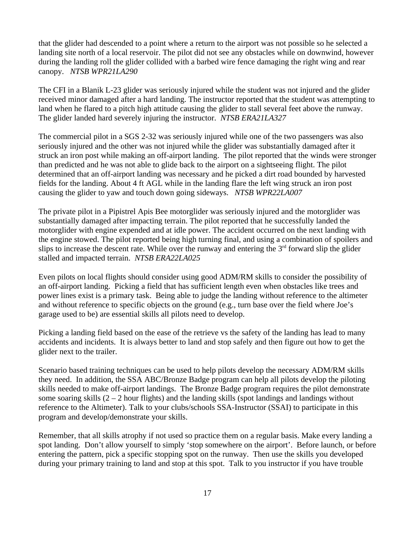that the glider had descended to a point where a return to the airport was not possible so he selected a landing site north of a local reservoir. The pilot did not see any obstacles while on downwind, however during the landing roll the glider collided with a barbed wire fence damaging the right wing and rear canopy. *NTSB WPR21LA290*

The CFI in a Blanik L-23 glider was seriously injured while the student was not injured and the glider received minor damaged after a hard landing. The instructor reported that the student was attempting to land when he flared to a pitch high attitude causing the glider to stall several feet above the runway. The glider landed hard severely injuring the instructor. *NTSB ERA21LA327*

The commercial pilot in a SGS 2-32 was seriously injured while one of the two passengers was also seriously injured and the other was not injured while the glider was substantially damaged after it struck an iron post while making an off-airport landing. The pilot reported that the winds were stronger than predicted and he was not able to glide back to the airport on a sightseeing flight. The pilot determined that an off-airport landing was necessary and he picked a dirt road bounded by harvested fields for the landing. About 4 ft AGL while in the landing flare the left wing struck an iron post causing the glider to yaw and touch down going sideways. *NTSB WPR22LA007*

The private pilot in a Pipistrel Apis Bee motorglider was seriously injured and the motorglider was substantially damaged after impacting terrain. The pilot reported that he successfully landed the motorglider with engine expended and at idle power. The accident occurred on the next landing with the engine stowed. The pilot reported being high turning final, and using a combination of spoilers and slips to increase the descent rate. While over the runway and entering the  $3<sup>rd</sup>$  forward slip the glider stalled and impacted terrain. *NTSB ERA22LA025*

Even pilots on local flights should consider using good ADM/RM skills to consider the possibility of an off-airport landing. Picking a field that has sufficient length even when obstacles like trees and power lines exist is a primary task. Being able to judge the landing without reference to the altimeter and without reference to specific objects on the ground (e.g., turn base over the field where Joe's garage used to be) are essential skills all pilots need to develop.

Picking a landing field based on the ease of the retrieve vs the safety of the landing has lead to many accidents and incidents. It is always better to land and stop safely and then figure out how to get the glider next to the trailer.

Scenario based training techniques can be used to help pilots develop the necessary ADM/RM skills they need. In addition, the SSA ABC/Bronze Badge program can help all pilots develop the piloting skills needed to make off-airport landings. The Bronze Badge program requires the pilot demonstrate some soaring skills  $(2 - 2$  hour flights) and the landing skills (spot landings and landings without reference to the Altimeter). Talk to your clubs/schools SSA-Instructor (SSAI) to participate in this program and develop/demonstrate your skills.

Remember, that all skills atrophy if not used so practice them on a regular basis. Make every landing a spot landing. Don't allow yourself to simply 'stop somewhere on the airport'. Before launch, or before entering the pattern, pick a specific stopping spot on the runway. Then use the skills you developed during your primary training to land and stop at this spot. Talk to you instructor if you have trouble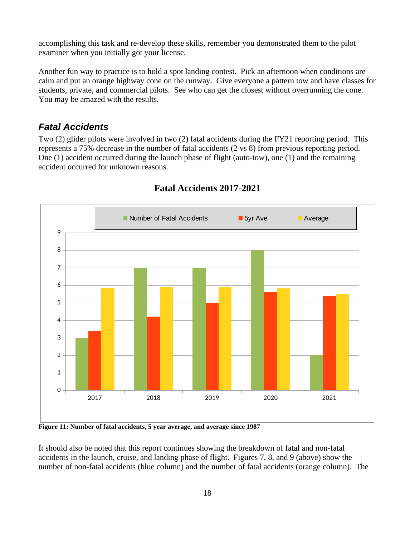accomplishing this task and re-develop these skills, remember you demonstrated them to the pilot examiner when you initially got your license.

Another fun way to practice is to hold a spot landing contest. Pick an afternoon when conditions are calm and put an orange highway cone on the runway. Give everyone a pattern tow and have classes for students, private, and commercial pilots. See who can get the closest without overrunning the cone. You may be amazed with the results.

#### <span id="page-18-0"></span>*Fatal Accidents*

Two (2) glider pilots were involved in two (2) fatal accidents during the FY21 reporting period. This represents a 75% decrease in the number of fatal accidents (2 vs 8) from previous reporting period. One (1) accident occurred during the launch phase of flight (auto-tow), one (1) and the remaining accident occurred for unknown reasons.



#### **Fatal Accidents 2017-2021**

**Figure 11: Number of fatal accidents, 5 year average, and average since 1987**

It should also be noted that this report continues showing the breakdown of fatal and non-fatal accidents in the launch, cruise, and landing phase of flight. Figures 7, 8, and 9 (above) show the number of non-fatal accidents (blue column) and the number of fatal accidents (orange column). The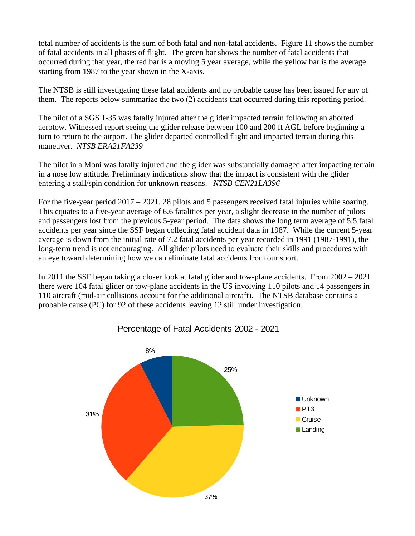total number of accidents is the sum of both fatal and non-fatal accidents. Figure 11 shows the number of fatal accidents in all phases of flight. The green bar shows the number of fatal accidents that occurred during that year, the red bar is a moving 5 year average, while the yellow bar is the average starting from 1987 to the year shown in the X-axis.

The NTSB is still investigating these fatal accidents and no probable cause has been issued for any of them. The reports below summarize the two (2) accidents that occurred during this reporting period.

The pilot of a SGS 1-35 was fatally injured after the glider impacted terrain following an aborted aerotow. Witnessed report seeing the glider release between 100 and 200 ft AGL before beginning a turn to return to the airport. The glider departed controlled flight and impacted terrain during this maneuver. *NTSB ERA21FA239*

The pilot in a Moni was fatally injured and the glider was substantially damaged after impacting terrain in a nose low attitude. Preliminary indications show that the impact is consistent with the glider entering a stall/spin condition for unknown reasons. *NTSB CEN21LA396*

For the five-year period 2017 – 2021, 28 pilots and 5 passengers received fatal injuries while soaring. This equates to a five-year average of 6.6 fatalities per year, a slight decrease in the number of pilots and passengers lost from the previous 5-year period. The data shows the long term average of 5.5 fatal accidents per year since the SSF began collecting fatal accident data in 1987. While the current 5-year average is down from the initial rate of 7.2 fatal accidents per year recorded in 1991 (1987-1991), the long-term trend is not encouraging. All glider pilots need to evaluate their skills and procedures with an eye toward determining how we can eliminate fatal accidents from our sport.

In 2011 the SSF began taking a closer look at fatal glider and tow-plane accidents. From 2002 – 2021 there were 104 fatal glider or tow-plane accidents in the US involving 110 pilots and 14 passengers in 110 aircraft (mid-air collisions account for the additional aircraft). The NTSB database contains a probable cause (PC) for 92 of these accidents leaving 12 still under investigation.



Percentage of Fatal Accidents 2002 - 2021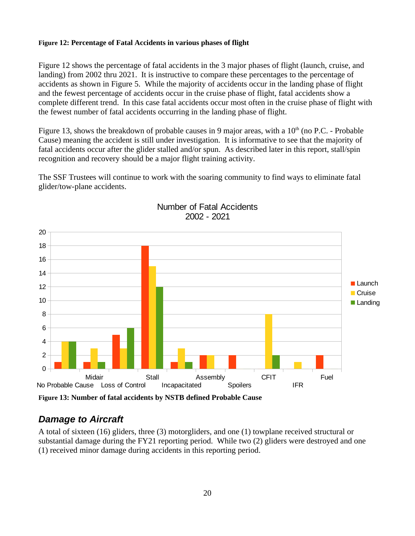#### **Figure 12: Percentage of Fatal Accidents in various phases of flight**

Figure 12 shows the percentage of fatal accidents in the 3 major phases of flight (launch, cruise, and landing) from 2002 thru 2021. It is instructive to compare these percentages to the percentage of accidents as shown in Figure 5. While the majority of accidents occur in the landing phase of flight and the fewest percentage of accidents occur in the cruise phase of flight, fatal accidents show a complete different trend. In this case fatal accidents occur most often in the cruise phase of flight with the fewest number of fatal accidents occurring in the landing phase of flight.

Figure 13, shows the breakdown of probable causes in 9 major areas, with a  $10<sup>th</sup>$  (no P.C. - Probable Cause) meaning the accident is still under investigation. It is informative to see that the majority of fatal accidents occur after the glider stalled and/or spun. As described later in this report, stall/spin recognition and recovery should be a major flight training activity.

The SSF Trustees will continue to work with the soaring community to find ways to eliminate fatal glider/tow-plane accidents.



#### Number of Fatal Accidents 2002 - 2021

**Figure 13: Number of fatal accidents by NSTB defined Probable Cause**

#### <span id="page-20-0"></span>*Damage to Aircraft*

A total of sixteen (16) gliders, three (3) motorgliders, and one (1) towplane received structural or substantial damage during the FY21 reporting period. While two (2) gliders were destroyed and one (1) received minor damage during accidents in this reporting period.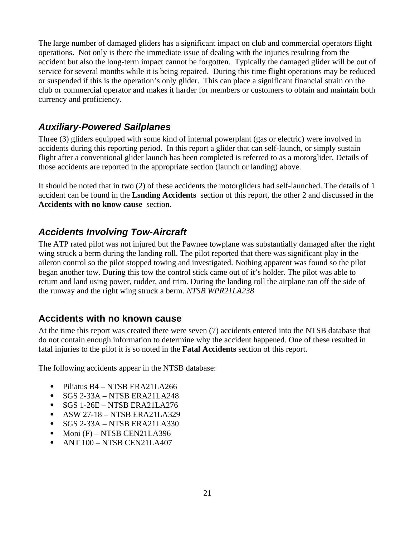The large number of damaged gliders has a significant impact on club and commercial operators flight operations. Not only is there the immediate issue of dealing with the injuries resulting from the accident but also the long-term impact cannot be forgotten. Typically the damaged glider will be out of service for several months while it is being repaired. During this time flight operations may be reduced or suspended if this is the operation's only glider. This can place a significant financial strain on the club or commercial operator and makes it harder for members or customers to obtain and maintain both currency and proficiency.

#### <span id="page-21-2"></span>*Auxiliary-Powered Sailplanes*

Three (3) gliders equipped with some kind of internal powerplant (gas or electric) were involved in accidents during this reporting period. In this report a glider that can self-launch, or simply sustain flight after a conventional glider launch has been completed is referred to as a motorglider. Details of those accidents are reported in the appropriate section (launch or landing) above.

It should be noted that in two (2) of these accidents the motorgliders had self-launched. The details of 1 accident can be found in the **Lsnding Accidents** section of this report, the other 2 and discussed in the **Accidents with no know cause** section.

#### <span id="page-21-1"></span>*Accidents Involving Tow-Aircraft*

The ATP rated pilot was not injured but the Pawnee towplane was substantially damaged after the right wing struck a berm during the landing roll. The pilot reported that there was significant play in the aileron control so the pilot stopped towing and investigated. Nothing apparent was found so the pilot began another tow. During this tow the control stick came out of it's holder. The pilot was able to return and land using power, rudder, and trim. During the landing roll the airplane ran off the side of the runway and the right wing struck a berm. *NTSB WPR21LA238*

#### <span id="page-21-0"></span>**Accidents with no known cause**

At the time this report was created there were seven (7) accidents entered into the NTSB database that do not contain enough information to determine why the accident happened. One of these resulted in fatal injuries to the pilot it is so noted in the **Fatal Accidents** section of this report.

The following accidents appear in the NTSB database:

- Piliatus B4 NTSB ERA21LA266
- $\bullet$  SGS 2-33A NTSB ERA21LA248
- SGS 1-26E NTSB ERA21LA276
- ASW 27-18 NTSB ERA21LA329
- SGS 2-33A NTSB ERA21LA330
- $\bullet$  Moni (F) NTSB CEN21LA396
- ANT 100 NTSB CEN21LA407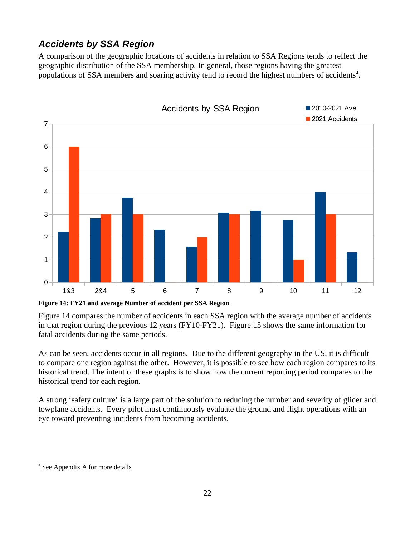## <span id="page-22-0"></span>*Accidents by SSA Region*

A comparison of the geographic locations of accidents in relation to SSA Regions tends to reflect the geographic distribution of the SSA membership. In general, those regions having the greatest populations of SSA members and soaring activity tend to record the highest numbers of accidents<sup>[4](#page-22-1)</sup>.



**Figure 14: FY21 and average Number of accident per SSA Region**

Figure 14 compares the number of accidents in each SSA region with the average number of accidents in that region during the previous 12 years (FY10-FY21). Figure 15 shows the same information for fatal accidents during the same periods.

As can be seen, accidents occur in all regions. Due to the different geography in the US, it is difficult to compare one region against the other. However, it is possible to see how each region compares to its historical trend. The intent of these graphs is to show how the current reporting period compares to the historical trend for each region.

A strong 'safety culture' is a large part of the solution to reducing the number and severity of glider and towplane accidents. Every pilot must continuously evaluate the ground and flight operations with an eye toward preventing incidents from becoming accidents.

<span id="page-22-1"></span><sup>4</sup> See Appendix A for more details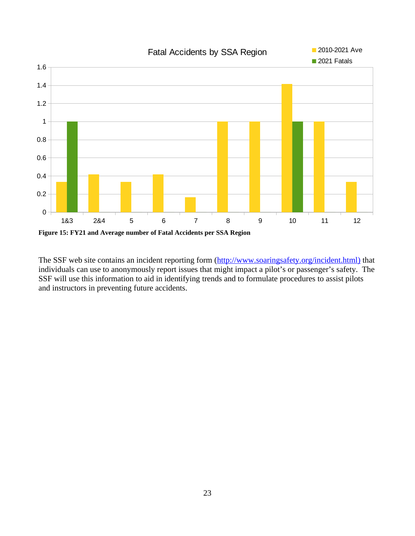

The SSF web site contains an incident reporting form (http://www.soaringsafety.org/incident.html) that individuals can use to anonymously report issues that might impact a pilot's or passenger's safety. The SSF will use this information to aid in identifying trends and to formulate procedures to assist pilots and instructors in preventing future accidents.

## Fatal Accidents by SSA Region 2010-2021 Ave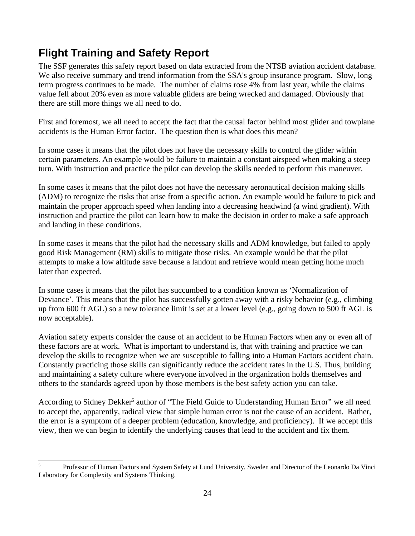# <span id="page-24-0"></span>**Flight Training and Safety Report**

The SSF generates this safety report based on data extracted from the NTSB aviation accident database. We also receive summary and trend information from the SSA's group insurance program. Slow, long term progress continues to be made. The number of claims rose 4% from last year, while the claims value fell about 20% even as more valuable gliders are being wrecked and damaged. Obviously that there are still more things we all need to do.

First and foremost, we all need to accept the fact that the causal factor behind most glider and towplane accidents is the Human Error factor. The question then is what does this mean?

In some cases it means that the pilot does not have the necessary skills to control the glider within certain parameters. An example would be failure to maintain a constant airspeed when making a steep turn. With instruction and practice the pilot can develop the skills needed to perform this maneuver.

In some cases it means that the pilot does not have the necessary aeronautical decision making skills (ADM) to recognize the risks that arise from a specific action. An example would be failure to pick and maintain the proper approach speed when landing into a decreasing headwind (a wind gradient). With instruction and practice the pilot can learn how to make the decision in order to make a safe approach and landing in these conditions.

In some cases it means that the pilot had the necessary skills and ADM knowledge, but failed to apply good Risk Management (RM) skills to mitigate those risks. An example would be that the pilot attempts to make a low altitude save because a landout and retrieve would mean getting home much later than expected.

In some cases it means that the pilot has succumbed to a condition known as 'Normalization of Deviance'. This means that the pilot has successfully gotten away with a risky behavior (e.g., climbing up from 600 ft AGL) so a new tolerance limit is set at a lower level (e.g., going down to 500 ft AGL is now acceptable).

Aviation safety experts consider the cause of an accident to be Human Factors when any or even all of these factors are at work. What is important to understand is, that with training and practice we can develop the skills to recognize when we are susceptible to falling into a Human Factors accident chain. Constantly practicing those skills can significantly reduce the accident rates in the U.S. Thus, building and maintaining a safety culture where everyone involved in the organization holds themselves and others to the standards agreed upon by those members is the best safety action you can take.

According to Sidney Dekker<sup>[5](#page-24-1)</sup> author of "The Field Guide to Understanding Human Error" we all need to accept the, apparently, radical view that simple human error is not the cause of an accident. Rather, the error is a symptom of a deeper problem (education, knowledge, and proficiency). If we accept this view, then we can begin to identify the underlying causes that lead to the accident and fix them.

<span id="page-24-1"></span><sup>&</sup>lt;sup>5</sup> Professor of Human Factors and System Safety at Lund University, Sweden and Director of the Leonardo Da Vinci Laboratory for Complexity and Systems Thinking.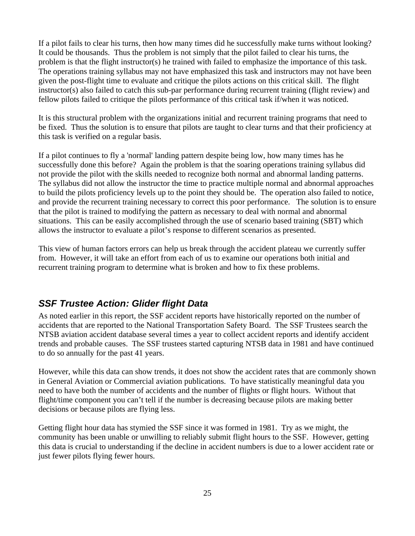If a pilot fails to clear his turns, then how many times did he successfully make turns without looking? It could be thousands. Thus the problem is not simply that the pilot failed to clear his turns, the problem is that the flight instructor(s) he trained with failed to emphasize the importance of this task. The operations training syllabus may not have emphasized this task and instructors may not have been given the post-flight time to evaluate and critique the pilots actions on this critical skill. The flight instructor(s) also failed to catch this sub-par performance during recurrent training (flight review) and fellow pilots failed to critique the pilots performance of this critical task if/when it was noticed.

It is this structural problem with the organizations initial and recurrent training programs that need to be fixed. Thus the solution is to ensure that pilots are taught to clear turns and that their proficiency at this task is verified on a regular basis.

If a pilot continues to fly a 'normal' landing pattern despite being low, how many times has he successfully done this before? Again the problem is that the soaring operations training syllabus did not provide the pilot with the skills needed to recognize both normal and abnormal landing patterns. The syllabus did not allow the instructor the time to practice multiple normal and abnormal approaches to build the pilots proficiency levels up to the point they should be. The operation also failed to notice, and provide the recurrent training necessary to correct this poor performance. The solution is to ensure that the pilot is trained to modifying the pattern as necessary to deal with normal and abnormal situations. This can be easily accomplished through the use of scenario based training (SBT) which allows the instructor to evaluate a pilot's response to different scenarios as presented.

This view of human factors errors can help us break through the accident plateau we currently suffer from. However, it will take an effort from each of us to examine our operations both initial and recurrent training program to determine what is broken and how to fix these problems.

#### <span id="page-25-0"></span>*SSF Trustee Action: Glider flight Data*

As noted earlier in this report, the SSF accident reports have historically reported on the number of accidents that are reported to the National Transportation Safety Board. The SSF Trustees search the NTSB aviation accident database several times a year to collect accident reports and identify accident trends and probable causes. The SSF trustees started capturing NTSB data in 1981 and have continued to do so annually for the past 41 years.

However, while this data can show trends, it does not show the accident rates that are commonly shown in General Aviation or Commercial aviation publications. To have statistically meaningful data you need to have both the number of accidents and the number of flights or flight hours. Without that flight/time component you can't tell if the number is decreasing because pilots are making better decisions or because pilots are flying less.

Getting flight hour data has stymied the SSF since it was formed in 1981. Try as we might, the community has been unable or unwilling to reliably submit flight hours to the SSF. However, getting this data is crucial to understanding if the decline in accident numbers is due to a lower accident rate or just fewer pilots flying fewer hours.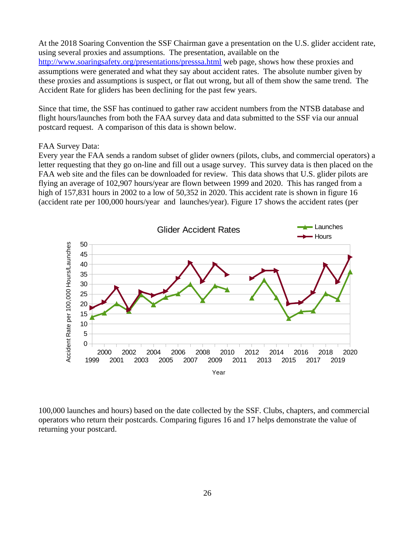At the 2018 Soaring Convention the SSF Chairman gave a presentation on the U.S. glider accident rate, using several proxies and assumptions. The presentation, available on the <http://www.soaringsafety.org/presentations/presssa.html> web page, shows how these proxies and assumptions were generated and what they say about accident rates. The absolute number given by these proxies and assumptions is suspect, or flat out wrong, but all of them show the same trend. The Accident Rate for gliders has been declining for the past few years.

Since that time, the SSF has continued to gather raw accident numbers from the NTSB database and flight hours/launches from both the FAA survey data and data submitted to the SSF via our annual postcard request. A comparison of this data is shown below.

#### FAA Survey Data:

Every year the FAA sends a random subset of glider owners (pilots, clubs, and commercial operators) a letter requesting that they go on-line and fill out a usage survey. This survey data is then placed on the FAA web site and the files can be downloaded for review. This data shows that U.S. glider pilots are flying an average of 102,907 hours/year are flown between 1999 and 2020. This has ranged from a high of 157,831 hours in 2002 to a low of 50,352 in 2020. This accident rate is shown in figure 16 (accident rate per 100,000 hours/year and launches/year). Figure 17 shows the accident rates (per



100,000 launches and hours) based on the date collected by the SSF. Clubs, chapters, and commercial operators who return their postcards. Comparing figures 16 and 17 helps demonstrate the value of returning your postcard.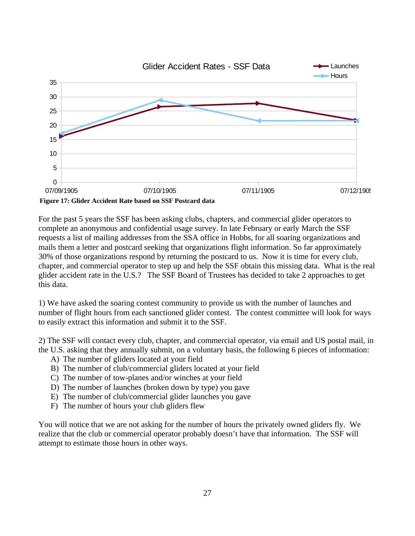

For the past 5 years the SSF has been asking clubs, chapters, and commercial glider operators to complete an anonymous and confidential usage survey. In late February or early March the SSF requests a list of mailing addresses from the SSA office in Hobbs, for all soaring organizations and mails them a letter and postcard seeking that organizations flight information. So far approximately 30% of those organizations respond by returning the postcard to us. Now it is time for every club, chapter, and commercial operator to step up and help the SSF obtain this missing data. What is the real glider accident rate in the U.S.? The SSF Board of Trustees has decided to take 2 approaches to get this data.

1) We have asked the soaring contest community to provide us with the number of launches and number of flight hours from each sanctioned glider contest. The contest committee will look for ways to easily extract this information and submit it to the SSF.

2) The SSF will contact every club, chapter, and commercial operator, via email and US postal mail, in the U.S. asking that they annually submit, on a voluntary basis, the following 6 pieces of information:

- A) The number of gliders located at your field
- B) The number of club/commercial gliders located at your field
- C) The number of tow-planes and/or winches at your field
- D) The number of launches (broken down by type) you gave
- E) The number of club/commercial glider launches you gave
- F) The number of hours your club gliders flew

You will notice that we are not asking for the number of hours the privately owned gliders fly. We realize that the club or commercial operator probably doesn't have that information. The SSF will attempt to estimate those hours in other ways.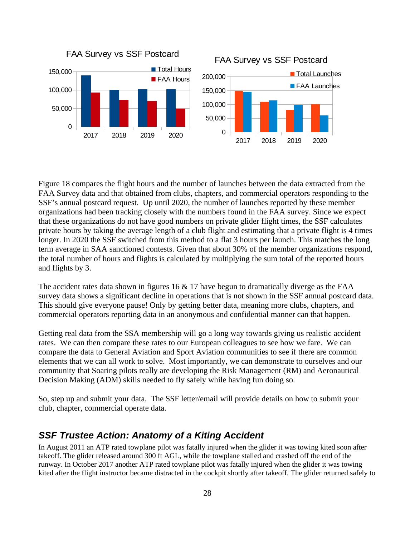

Figure 18 compares the flight hours and the number of launches between the data extracted from the FAA Survey data and that obtained from clubs, chapters, and commercial operators responding to the SSF's annual postcard request. Up until 2020, the number of launches reported by these member organizations had been tracking closely with the numbers found in the FAA survey. Since we expect that these organizations do not have good numbers on private glider flight times, the SSF calculates private hours by taking the average length of a club flight and estimating that a private flight is 4 times longer. In 2020 the SSF switched from this method to a flat 3 hours per launch. This matches the long term average in SAA sanctioned contests. Given that about 30% of the member organizations respond, the total number of hours and flights is calculated by multiplying the sum total of the reported hours and flights by 3.

The accident rates data shown in figures 16 & 17 have begun to dramatically diverge as the FAA survey data shows a significant decline in operations that is not shown in the SSF annual postcard data. This should give everyone pause! Only by getting better data, meaning more clubs, chapters, and commercial operators reporting data in an anonymous and confidential manner can that happen.

Getting real data from the SSA membership will go a long way towards giving us realistic accident rates. We can then compare these rates to our European colleagues to see how we fare. We can compare the data to General Aviation and Sport Aviation communities to see if there are common elements that we can all work to solve. Most importantly, we can demonstrate to ourselves and our community that Soaring pilots really are developing the Risk Management (RM) and Aeronautical Decision Making (ADM) skills needed to fly safely while having fun doing so.

So, step up and submit your data. The SSF letter/email will provide details on how to submit your club, chapter, commercial operate data.

#### <span id="page-28-0"></span>*SSF Trustee Action: Anatomy of a Kiting Accident*

In August 2011 an ATP rated towplane pilot was fatally injured when the glider it was towing kited soon after takeoff. The glider released around 300 ft AGL, while the towplane stalled and crashed off the end of the runway. In October 2017 another ATP rated towplane pilot was fatally injured when the glider it was towing kited after the flight instructor became distracted in the cockpit shortly after takeoff. The glider returned safely to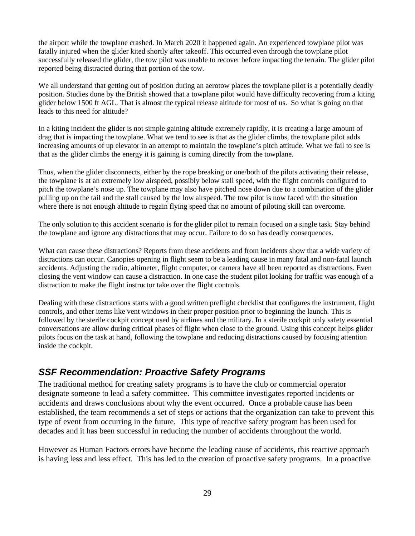the airport while the towplane crashed. In March 2020 it happened again. An experienced towplane pilot was fatally injured when the glider kited shortly after takeoff. This occurred even through the towplane pilot successfully released the glider, the tow pilot was unable to recover before impacting the terrain. The glider pilot reported being distracted during that portion of the tow.

We all understand that getting out of position during an aerotow places the towplane pilot is a potentially deadly position. Studies done by the British showed that a towplane pilot would have difficulty recovering from a kiting glider below 1500 ft AGL. That is almost the typical release altitude for most of us. So what is going on that leads to this need for altitude?

In a kiting incident the glider is not simple gaining altitude extremely rapidly, it is creating a large amount of drag that is impacting the towplane. What we tend to see is that as the glider climbs, the towplane pilot adds increasing amounts of up elevator in an attempt to maintain the towplane's pitch attitude. What we fail to see is that as the glider climbs the energy it is gaining is coming directly from the towplane.

Thus, when the glider disconnects, either by the rope breaking or one/both of the pilots activating their release, the towplane is at an extremely low airspeed, possibly below stall speed, with the flight controls configured to pitch the towplane's nose up. The towplane may also have pitched nose down due to a combination of the glider pulling up on the tail and the stall caused by the low airspeed. The tow pilot is now faced with the situation where there is not enough altitude to regain flying speed that no amount of piloting skill can overcome.

The only solution to this accident scenario is for the glider pilot to remain focused on a single task. Stay behind the towplane and ignore any distractions that may occur. Failure to do so has deadly consequences.

What can cause these distractions? Reports from these accidents and from incidents show that a wide variety of distractions can occur. Canopies opening in flight seem to be a leading cause in many fatal and non-fatal launch accidents. Adjusting the radio, altimeter, flight computer, or camera have all been reported as distractions. Even closing the vent window can cause a distraction. In one case the student pilot looking for traffic was enough of a distraction to make the flight instructor take over the flight controls.

Dealing with these distractions starts with a good written preflight checklist that configures the instrument, flight controls, and other items like vent windows in their proper position prior to beginning the launch. This is followed by the sterile cockpit concept used by airlines and the military. In a sterile cockpit only safety essential conversations are allow during critical phases of flight when close to the ground. Using this concept helps glider pilots focus on the task at hand, following the towplane and reducing distractions caused by focusing attention inside the cockpit.

#### <span id="page-29-0"></span>*SSF Recommendation: Proactive Safety Programs*

The traditional method for creating safety programs is to have the club or commercial operator designate someone to lead a safety committee. This committee investigates reported incidents or accidents and draws conclusions about why the event occurred. Once a probable cause has been established, the team recommends a set of steps or actions that the organization can take to prevent this type of event from occurring in the future. This type of reactive safety program has been used for decades and it has been successful in reducing the number of accidents throughout the world.

However as Human Factors errors have become the leading cause of accidents, this reactive approach is having less and less effect. This has led to the creation of proactive safety programs. In a proactive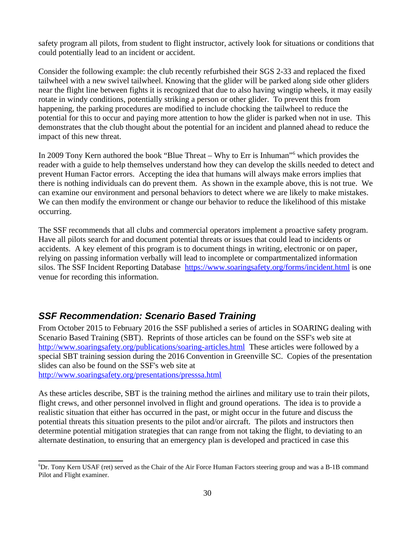safety program all pilots, from student to flight instructor, actively look for situations or conditions that could potentially lead to an incident or accident.

Consider the following example: the club recently refurbished their SGS 2-33 and replaced the fixed tailwheel with a new swivel tailwheel. Knowing that the glider will be parked along side other gliders near the flight line between fights it is recognized that due to also having wingtip wheels, it may easily rotate in windy conditions, potentially striking a person or other glider. To prevent this from happening, the parking procedures are modified to include chocking the tailwheel to reduce the potential for this to occur and paying more attention to how the glider is parked when not in use. This demonstrates that the club thought about the potential for an incident and planned ahead to reduce the impact of this new threat.

In 2009 Tony Kern authored the book "Blue Threat – Why to Err is Inhuman"<sup>[6](#page-30-1)</sup> which provides the reader with a guide to help themselves understand how they can develop the skills needed to detect and prevent Human Factor errors. Accepting the idea that humans will always make errors implies that there is nothing individuals can do prevent them. As shown in the example above, this is not true. We can examine our environment and personal behaviors to detect where we are likely to make mistakes. We can then modify the environment or change our behavior to reduce the likelihood of this mistake occurring.

The SSF recommends that all clubs and commercial operators implement a proactive safety program. Have all pilots search for and document potential threats or issues that could lead to incidents or accidents. A key element of this program is to document things in writing, electronic or on paper, relying on passing information verbally will lead to incomplete or compartmentalized information silos. The SSF Incident Reporting Database <https://www.soaringsafety.org/forms/incident.html> is one venue for recording this information.

#### <span id="page-30-0"></span>*SSF Recommendation: Scenario Based Training*

From October 2015 to February 2016 the SSF published a series of articles in SOARING dealing with Scenario Based Training (SBT). Reprints of those articles can be found on the SSF's web site at <http://www.soaringsafety.org/publications/soaring-articles.html>These articles were followed by a special SBT training session during the 2016 Convention in Greenville SC. Copies of the presentation slides can also be found on the SSF's web site at

<http://www.soaringsafety.org/presentations/presssa.html>

As these articles describe, SBT is the training method the airlines and military use to train their pilots, flight crews, and other personnel involved in flight and ground operations. The idea is to provide a realistic situation that either has occurred in the past, or might occur in the future and discuss the potential threats this situation presents to the pilot and/or aircraft. The pilots and instructors then determine potential mitigation strategies that can range from not taking the flight, to deviating to an alternate destination, to ensuring that an emergency plan is developed and practiced in case this

<span id="page-30-1"></span> $6$ Dr. Tony Kern USAF (ret) served as the Chair of the Air Force Human Factors steering group and was a B-1B command Pilot and Flight examiner.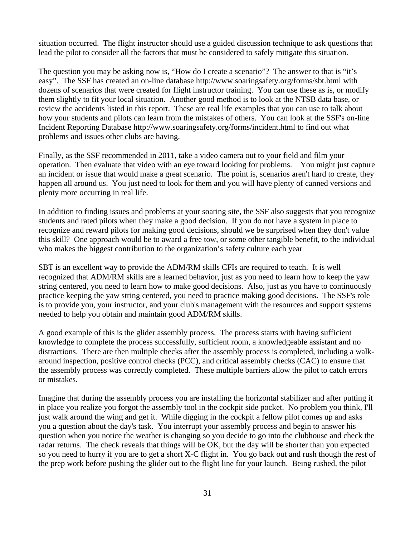situation occurred. The flight instructor should use a guided discussion technique to ask questions that lead the pilot to consider all the factors that must be considered to safely mitigate this situation.

The question you may be asking now is, "How do I create a scenario"? The answer to that is "it's easy". The SSF has created an on-line database http://www.soaringsafety.org/forms/sbt.html with dozens of scenarios that were created for flight instructor training. You can use these as is, or modify them slightly to fit your local situation. Another good method is to look at the NTSB data base, or review the accidents listed in this report. These are real life examples that you can use to talk about how your students and pilots can learn from the mistakes of others. You can look at the SSF's on-line Incident Reporting Database http://www.soaringsafety.org/forms/incident.html to find out what problems and issues other clubs are having.

Finally, as the SSF recommended in 2011, take a video camera out to your field and film your operation. Then evaluate that video with an eye toward looking for problems. You might just capture an incident or issue that would make a great scenario. The point is, scenarios aren't hard to create, they happen all around us. You just need to look for them and you will have plenty of canned versions and plenty more occurring in real life.

In addition to finding issues and problems at your soaring site, the SSF also suggests that you recognize students and rated pilots when they make a good decision. If you do not have a system in place to recognize and reward pilots for making good decisions, should we be surprised when they don't value this skill? One approach would be to award a free tow, or some other tangible benefit, to the individual who makes the biggest contribution to the organization's safety culture each year

SBT is an excellent way to provide the ADM/RM skills CFIs are required to teach. It is well recognized that ADM/RM skills are a learned behavior, just as you need to learn how to keep the yaw string centered, you need to learn how to make good decisions. Also, just as you have to continuously practice keeping the yaw string centered, you need to practice making good decisions. The SSF's role is to provide you, your instructor, and your club's management with the resources and support systems needed to help you obtain and maintain good ADM/RM skills.

A good example of this is the glider assembly process. The process starts with having sufficient knowledge to complete the process successfully, sufficient room, a knowledgeable assistant and no distractions. There are then multiple checks after the assembly process is completed, including a walkaround inspection, positive control checks (PCC), and critical assembly checks (CAC) to ensure that the assembly process was correctly completed. These multiple barriers allow the pilot to catch errors or mistakes.

Imagine that during the assembly process you are installing the horizontal stabilizer and after putting it in place you realize you forgot the assembly tool in the cockpit side pocket. No problem you think, I'll just walk around the wing and get it. While digging in the cockpit a fellow pilot comes up and asks you a question about the day's task. You interrupt your assembly process and begin to answer his question when you notice the weather is changing so you decide to go into the clubhouse and check the radar returns. The check reveals that things will be OK, but the day will be shorter than you expected so you need to hurry if you are to get a short X-C flight in. You go back out and rush though the rest of the prep work before pushing the glider out to the flight line for your launch. Being rushed, the pilot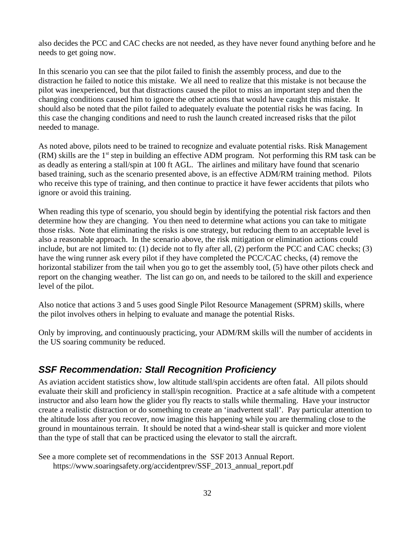also decides the PCC and CAC checks are not needed, as they have never found anything before and he needs to get going now.

In this scenario you can see that the pilot failed to finish the assembly process, and due to the distraction he failed to notice this mistake. We all need to realize that this mistake is not because the pilot was inexperienced, but that distractions caused the pilot to miss an important step and then the changing conditions caused him to ignore the other actions that would have caught this mistake. It should also be noted that the pilot failed to adequately evaluate the potential risks he was facing. In this case the changing conditions and need to rush the launch created increased risks that the pilot needed to manage.

As noted above, pilots need to be trained to recognize and evaluate potential risks. Risk Management  $(RM)$  skills are the  $1<sup>st</sup>$  step in building an effective ADM program. Not performing this RM task can be as deadly as entering a stall/spin at 100 ft AGL. The airlines and military have found that scenario based training, such as the scenario presented above, is an effective ADM/RM training method. Pilots who receive this type of training, and then continue to practice it have fewer accidents that pilots who ignore or avoid this training.

When reading this type of scenario, you should begin by identifying the potential risk factors and then determine how they are changing. You then need to determine what actions you can take to mitigate those risks. Note that eliminating the risks is one strategy, but reducing them to an acceptable level is also a reasonable approach. In the scenario above, the risk mitigation or elimination actions could include, but are not limited to: (1) decide not to fly after all, (2) perform the PCC and CAC checks; (3) have the wing runner ask every pilot if they have completed the PCC/CAC checks, (4) remove the horizontal stabilizer from the tail when you go to get the assembly tool, (5) have other pilots check and report on the changing weather. The list can go on, and needs to be tailored to the skill and experience level of the pilot.

Also notice that actions 3 and 5 uses good Single Pilot Resource Management (SPRM) skills, where the pilot involves others in helping to evaluate and manage the potential Risks.

Only by improving, and continuously practicing, your ADM/RM skills will the number of accidents in the US soaring community be reduced.

#### <span id="page-32-0"></span>*SSF Recommendation: Stall Recognition Proficiency*

As aviation accident statistics show, low altitude stall/spin accidents are often fatal. All pilots should evaluate their skill and proficiency in stall/spin recognition. Practice at a safe altitude with a competent instructor and also learn how the glider you fly reacts to stalls while thermaling. Have your instructor create a realistic distraction or do something to create an 'inadvertent stall'. Pay particular attention to the altitude loss after you recover, now imagine this happening while you are thermaling close to the ground in mountainous terrain. It should be noted that a wind-shear stall is quicker and more violent than the type of stall that can be practiced using the elevator to stall the aircraft.

See a more complete set of recommendations in the SSF 2013 Annual Report. https://www.soaringsafety.org/accidentprev/SSF\_2013\_annual\_report.pdf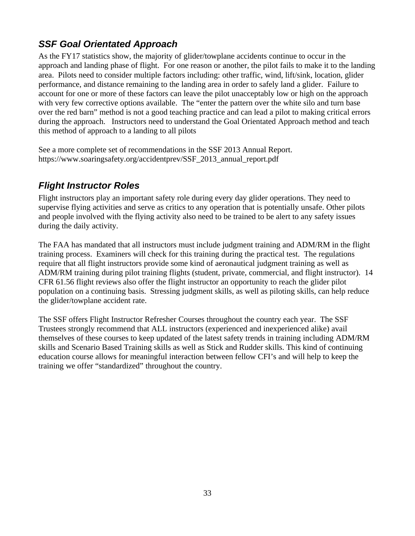## <span id="page-33-1"></span>*SSF Goal Orientated Approach*

As the FY17 statistics show, the majority of glider/towplane accidents continue to occur in the approach and landing phase of flight. For one reason or another, the pilot fails to make it to the landing area. Pilots need to consider multiple factors including: other traffic, wind, lift/sink, location, glider performance, and distance remaining to the landing area in order to safely land a glider. Failure to account for one or more of these factors can leave the pilot unacceptably low or high on the approach with very few corrective options available. The "enter the pattern over the white silo and turn base over the red barn" method is not a good teaching practice and can lead a pilot to making critical errors during the approach. Instructors need to understand the Goal Orientated Approach method and teach this method of approach to a landing to all pilots

See a more complete set of recommendations in the SSF 2013 Annual Report. https://www.soaringsafety.org/accidentprev/SSF\_2013\_annual\_report.pdf

## <span id="page-33-0"></span>*Flight Instructor Roles*

Flight instructors play an important safety role during every day glider operations. They need to supervise flying activities and serve as critics to any operation that is potentially unsafe. Other pilots and people involved with the flying activity also need to be trained to be alert to any safety issues during the daily activity.

The FAA has mandated that all instructors must include judgment training and ADM/RM in the flight training process. Examiners will check for this training during the practical test. The regulations require that all flight instructors provide some kind of aeronautical judgment training as well as ADM/RM training during pilot training flights (student, private, commercial, and flight instructor). 14 CFR 61.56 flight reviews also offer the flight instructor an opportunity to reach the glider pilot population on a continuing basis. Stressing judgment skills, as well as piloting skills, can help reduce the glider/towplane accident rate.

The SSF offers Flight Instructor Refresher Courses throughout the country each year. The SSF Trustees strongly recommend that ALL instructors (experienced and inexperienced alike) avail themselves of these courses to keep updated of the latest safety trends in training including ADM/RM skills and Scenario Based Training skills as well as Stick and Rudder skills. This kind of continuing education course allows for meaningful interaction between fellow CFI's and will help to keep the training we offer "standardized" throughout the country.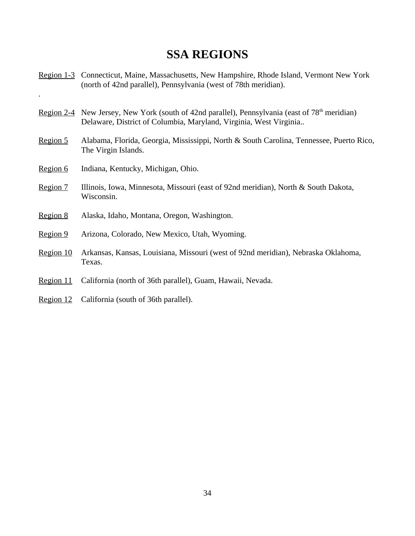## **SSA REGIONS**

Region 1-3 Connecticut, Maine, Massachusetts, New Hampshire, Rhode Island, Vermont New York (north of 42nd parallel), Pennsylvania (west of 78th meridian).

- Region 2-4 New Jersey, New York (south of 42nd parallel), Pennsylvania (east of  $78<sup>th</sup>$  meridian) Delaware, District of Columbia, Maryland, Virginia, West Virginia..
- Region 5 Alabama, Florida, Georgia, Mississippi, North & South Carolina, Tennessee, Puerto Rico, The Virgin Islands.
- Region 6 Indiana, Kentucky, Michigan, Ohio.

.

- Region 7 Illinois, Iowa, Minnesota, Missouri (east of 92nd meridian), North & South Dakota, Wisconsin.
- Region 8 Alaska, Idaho, Montana, Oregon, Washington.
- Region 9 Arizona, Colorado, New Mexico, Utah, Wyoming.
- Region 10 Arkansas, Kansas, Louisiana, Missouri (west of 92nd meridian), Nebraska Oklahoma, Texas.
- Region 11 California (north of 36th parallel), Guam, Hawaii, Nevada.
- Region 12 California (south of 36th parallel).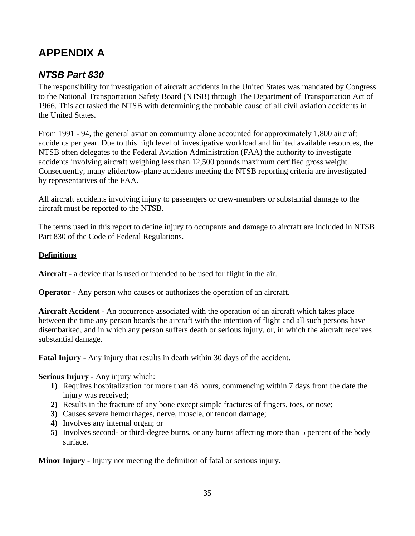# <span id="page-35-1"></span>**APPENDIX A**

#### <span id="page-35-0"></span>*NTSB Part 830*

The responsibility for investigation of aircraft accidents in the United States was mandated by Congress to the National Transportation Safety Board (NTSB) through The Department of Transportation Act of 1966. This act tasked the NTSB with determining the probable cause of all civil aviation accidents in the United States.

From 1991 - 94, the general aviation community alone accounted for approximately 1,800 aircraft accidents per year. Due to this high level of investigative workload and limited available resources, the NTSB often delegates to the Federal Aviation Administration (FAA) the authority to investigate accidents involving aircraft weighing less than 12,500 pounds maximum certified gross weight. Consequently, many glider/tow-plane accidents meeting the NTSB reporting criteria are investigated by representatives of the FAA.

All aircraft accidents involving injury to passengers or crew-members or substantial damage to the aircraft must be reported to the NTSB.

The terms used in this report to define injury to occupants and damage to aircraft are included in NTSB Part 830 of the Code of Federal Regulations.

#### **Definitions**

**Aircraft** - a device that is used or intended to be used for flight in the air.

**Operator -** Any person who causes or authorizes the operation of an aircraft.

**Aircraft Accident** - An occurrence associated with the operation of an aircraft which takes place between the time any person boards the aircraft with the intention of flight and all such persons have disembarked, and in which any person suffers death or serious injury, or, in which the aircraft receives substantial damage.

**Fatal Injury** - Any injury that results in death within 30 days of the accident.

**Serious Injury** - Any injury which:

- **1)** Requires hospitalization for more than 48 hours, commencing within 7 days from the date the injury was received:
- **2)** Results in the fracture of any bone except simple fractures of fingers, toes, or nose;
- **3)** Causes severe hemorrhages, nerve, muscle, or tendon damage;
- **4)** Involves any internal organ; or
- **5)** Involves second- or third-degree burns, or any burns affecting more than 5 percent of the body surface.

**Minor Injury** - Injury not meeting the definition of fatal or serious injury.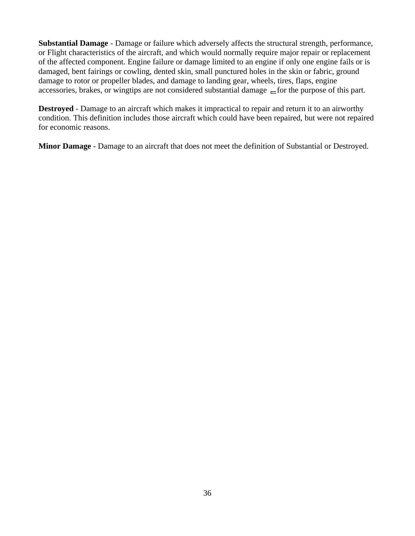**Substantial Damage** - Damage or failure which adversely affects the structural strength, performance, or Flight characteristics of the aircraft, and which would normally require major repair or replacement of the affected component. Engine failure or damage limited to an engine if only one engine fails or is damaged, bent fairings or cowling, dented skin, small punctured holes in the skin or fabric, ground damage to rotor or propeller blades, and damage to landing gear, wheels, tires, flaps, engine accessories, brakes, or wingtips are not considered substantial damage  $\equiv$  for the purpose of this part.

**Destroyed** - Damage to an aircraft which makes it impractical to repair and return it to an airworthy condition. This definition includes those aircraft which could have been repaired, but were not repaired for economic reasons.

**Minor Damage** - Damage to an aircraft that does not meet the definition of Substantial or Destroyed.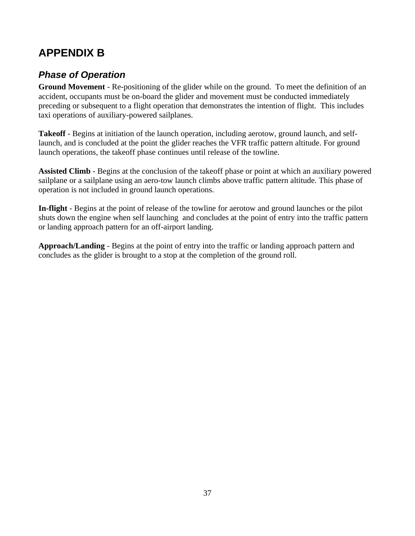# <span id="page-37-1"></span>**APPENDIX B**

## <span id="page-37-0"></span>*Phase of Operation*

**Ground Movement** - Re-positioning of the glider while on the ground. To meet the definition of an accident, occupants must be on-board the glider and movement must be conducted immediately preceding or subsequent to a flight operation that demonstrates the intention of flight. This includes taxi operations of auxiliary-powered sailplanes.

**Takeoff** - Begins at initiation of the launch operation, including aerotow, ground launch, and selflaunch, and is concluded at the point the glider reaches the VFR traffic pattern altitude. For ground launch operations, the takeoff phase continues until release of the towline.

**Assisted Climb** - Begins at the conclusion of the takeoff phase or point at which an auxiliary powered sailplane or a sailplane using an aero-tow launch climbs above traffic pattern altitude. This phase of operation is not included in ground launch operations.

**In-flight** - Begins at the point of release of the towline for aerotow and ground launches or the pilot shuts down the engine when self launching and concludes at the point of entry into the traffic pattern or landing approach pattern for an off-airport landing.

**Approach/Landing** - Begins at the point of entry into the traffic or landing approach pattern and concludes as the glider is brought to a stop at the completion of the ground roll.